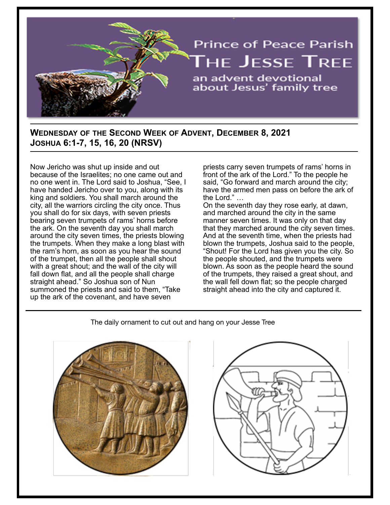

# **WEDNESDAY OF THE SECOND WEEK OF ADVENT, DECEMBER 8, 2021 JOSHUA 6:1-7, 15, 16, 20 (NRSV)**

Now Jericho was shut up inside and out because of the Israelites; no one came out and no one went in. The Lord said to Joshua, "See, I have handed Jericho over to you, along with its king and soldiers. You shall march around the city, all the warriors circling the city once. Thus you shall do for six days, with seven priests bearing seven trumpets of rams' horns before the ark. On the seventh day you shall march around the city seven times, the priests blowing the trumpets. When they make a long blast with the ram's horn, as soon as you hear the sound of the trumpet, then all the people shall shout with a great shout; and the wall of the city will fall down flat, and all the people shall charge straight ahead." So Joshua son of Nun summoned the priests and said to them, "Take up the ark of the covenant, and have seven

priests carry seven trumpets of rams' horns in front of the ark of the Lord." To the people he said, "Go forward and march around the city; have the armed men pass on before the ark of the Lord." …

On the seventh day they rose early, at dawn, and marched around the city in the same manner seven times. It was only on that day that they marched around the city seven times. And at the seventh time, when the priests had blown the trumpets, Joshua said to the people, "Shout! For the Lord has given you the city. So the people shouted, and the trumpets were blown. As soon as the people heard the sound of the trumpets, they raised a great shout, and the wall fell down flat; so the people charged straight ahead into the city and captured it.

#### The daily ornament to cut out and hang on your Jesse Tree